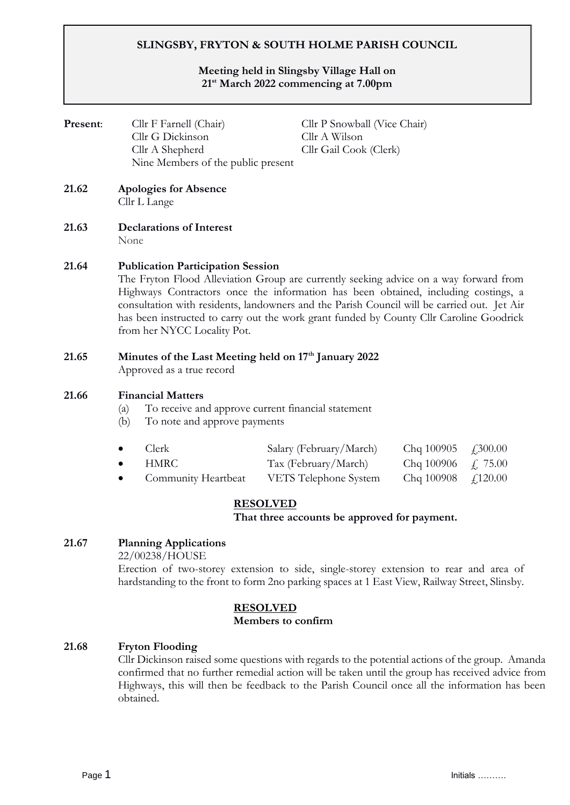# **SLINGSBY, FRYTON & SOUTH HOLME PARISH COUNCIL**

## **Meeting held in Slingsby Village Hall on 21st March 2022 commencing at 7.00pm**

| Present: |                                                                                                                                                                                                                                                                                                                                                                                                                                                  | Cllr F Farnell (Chair)              |                                                                                               | Cllr P Snowball (Vice Chair)<br>Cllr A Wilson<br>Cllr Gail Cook (Clerk) |          |  |
|----------|--------------------------------------------------------------------------------------------------------------------------------------------------------------------------------------------------------------------------------------------------------------------------------------------------------------------------------------------------------------------------------------------------------------------------------------------------|-------------------------------------|-----------------------------------------------------------------------------------------------|-------------------------------------------------------------------------|----------|--|
|          |                                                                                                                                                                                                                                                                                                                                                                                                                                                  | Cllr G Dickinson<br>Cllr A Shepherd |                                                                                               |                                                                         |          |  |
|          |                                                                                                                                                                                                                                                                                                                                                                                                                                                  | Nine Members of the public present  |                                                                                               |                                                                         |          |  |
| 21.62    | <b>Apologies for Absence</b><br>Cllr L Lange                                                                                                                                                                                                                                                                                                                                                                                                     |                                     |                                                                                               |                                                                         |          |  |
| 21.63    | <b>Declarations of Interest</b><br>None                                                                                                                                                                                                                                                                                                                                                                                                          |                                     |                                                                                               |                                                                         |          |  |
| 21.64    | <b>Publication Participation Session</b><br>The Fryton Flood Alleviation Group are currently seeking advice on a way forward from<br>Highways Contractors once the information has been obtained, including costings, a<br>consultation with residents, landowners and the Parish Council will be carried out. Jet Air<br>has been instructed to carry out the work grant funded by County Cllr Caroline Goodrick<br>from her NYCC Locality Pot. |                                     |                                                                                               |                                                                         |          |  |
| 21.65    | Minutes of the Last Meeting held on 17 <sup>th</sup> January 2022<br>Approved as a true record                                                                                                                                                                                                                                                                                                                                                   |                                     |                                                                                               |                                                                         |          |  |
| 21.66    | <b>Financial Matters</b><br>To receive and approve current financial statement<br>(a)<br>To note and approve payments<br>(b)                                                                                                                                                                                                                                                                                                                     |                                     |                                                                                               |                                                                         |          |  |
|          | $\bullet$                                                                                                                                                                                                                                                                                                                                                                                                                                        | Clerk                               | Salary (February/March)                                                                       | Chq 100905                                                              | £,300.00 |  |
|          |                                                                                                                                                                                                                                                                                                                                                                                                                                                  | <b>HMRC</b>                         | Tax (February/March)                                                                          | Chq 100906                                                              | £ 75.00  |  |
|          | $\bullet$                                                                                                                                                                                                                                                                                                                                                                                                                                        | Community Heartbeat                 | VETS Telephone System                                                                         | Chq 100908                                                              | f120.00  |  |
|          |                                                                                                                                                                                                                                                                                                                                                                                                                                                  |                                     | <b>RESOLVED</b><br>That three accounts be approved for payment.                               |                                                                         |          |  |
| 21.67    | <b>Planning Applications</b><br>22/00238/HOUSE                                                                                                                                                                                                                                                                                                                                                                                                   |                                     |                                                                                               |                                                                         |          |  |
|          | Erection of two-storey extension to side, single-storey extension to rear and area of                                                                                                                                                                                                                                                                                                                                                            |                                     |                                                                                               |                                                                         |          |  |
|          |                                                                                                                                                                                                                                                                                                                                                                                                                                                  |                                     | hardstanding to the front to form 2no parking spaces at 1 East View, Railway Street, Slinsby. |                                                                         |          |  |
|          |                                                                                                                                                                                                                                                                                                                                                                                                                                                  |                                     | <b>RESOLVED</b>                                                                               |                                                                         |          |  |

#### **RESOLVED Members to confirm**

# **21.68 Fryton Flooding**

Cllr Dickinson raised some questions with regards to the potential actions of the group. Amanda confirmed that no further remedial action will be taken until the group has received advice from Highways, this will then be feedback to the Parish Council once all the information has been obtained.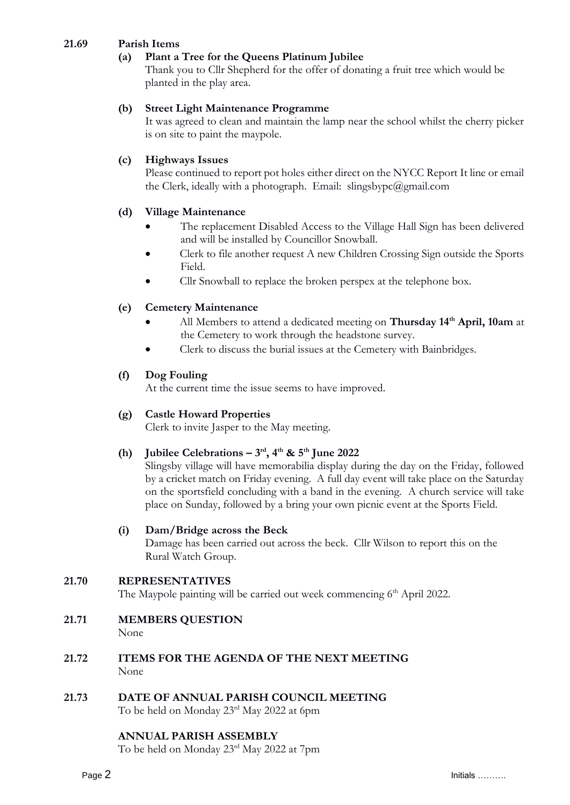# **21.69 Parish Items**

# **(a) Plant a Tree for the Queens Platinum Jubilee**

Thank you to Cllr Shepherd for the offer of donating a fruit tree which would be planted in the play area.

#### **(b) Street Light Maintenance Programme**

 It was agreed to clean and maintain the lamp near the school whilst the cherry picker is on site to paint the maypole.

#### **(c) Highways Issues**

Please continued to report pot holes either direct on the NYCC Report It line or email the Clerk, ideally with a photograph. Email: slingsbypc@gmail.com

## **(d) Village Maintenance**

- The replacement Disabled Access to the Village Hall Sign has been delivered and will be installed by Councillor Snowball.
- Clerk to file another request A new Children Crossing Sign outside the Sports Field.
- Cllr Snowball to replace the broken perspex at the telephone box.

## **(e) Cemetery Maintenance**

- All Members to attend a dedicated meeting on **Thursday 14th April, 10am** at the Cemetery to work through the headstone survey.
- Clerk to discuss the burial issues at the Cemetery with Bainbridges.

#### **(f) Dog Fouling**

At the current time the issue seems to have improved.

## **(g) Castle Howard Properties**

Clerk to invite Jasper to the May meeting.

## (h) **Jubilee Celebrations**  $-3^{\text{rd}}$ **, 4<sup>th</sup> & 5<sup>th</sup> June 2022**

Slingsby village will have memorabilia display during the day on the Friday, followed by a cricket match on Friday evening. A full day event will take place on the Saturday on the sportsfield concluding with a band in the evening. A church service will take place on Sunday, followed by a bring your own picnic event at the Sports Field.

#### **(i) Dam/Bridge across the Beck**

Damage has been carried out across the beck. Cllr Wilson to report this on the Rural Watch Group.

## **21.70 REPRESENTATIVES**

The Maypole painting will be carried out week commencing 6<sup>th</sup> April 2022.

- **21.71 MEMBERS QUESTION** None
- **21.72 ITEMS FOR THE AGENDA OF THE NEXT MEETING** None
- **21.73 DATE OF ANNUAL PARISH COUNCIL MEETING**  To be held on Monday 23rd May 2022 at 6pm

#### **ANNUAL PARISH ASSEMBLY**

To be held on Monday 23rd May 2022 at 7pm